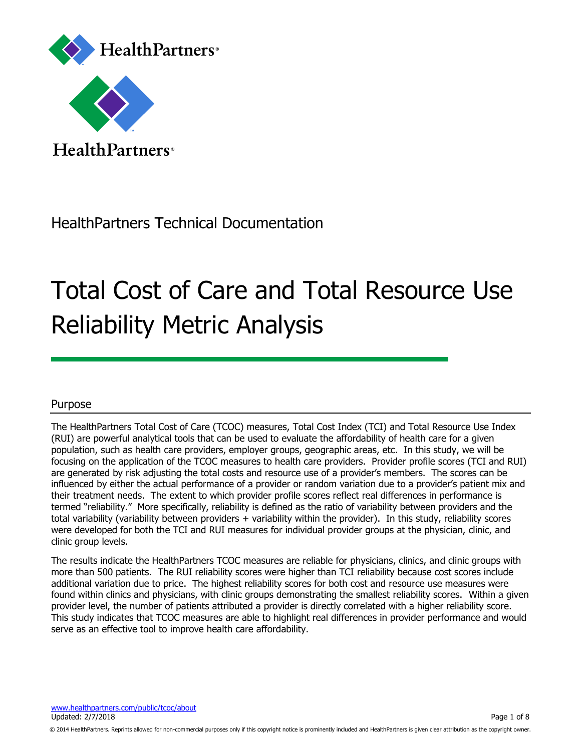

Health Partners<sup>®</sup>

## HealthPartners Technical Documentation

# Total Cost of Care and Total Resource Use Reliability Metric Analysis

### Purpose

The HealthPartners Total Cost of Care (TCOC) measures, Total Cost Index (TCI) and Total Resource Use Index (RUI) are powerful analytical tools that can be used to evaluate the affordability of health care for a given population, such as health care providers, employer groups, geographic areas, etc. In this study, we will be focusing on the application of the TCOC measures to health care providers. Provider profile scores (TCI and RUI) are generated by risk adjusting the total costs and resource use of a provider's members. The scores can be influenced by either the actual performance of a provider or random variation due to a provider's patient mix and their treatment needs. The extent to which provider profile scores reflect real differences in performance is termed "reliability." More specifically, reliability is defined as the ratio of variability between providers and the total variability (variability between providers + variability within the provider). In this study, reliability scores were developed for both the TCI and RUI measures for individual provider groups at the physician, clinic, and clinic group levels.

The results indicate the HealthPartners TCOC measures are reliable for physicians, clinics, and clinic groups with more than 500 patients. The RUI reliability scores were higher than TCI reliability because cost scores include additional variation due to price. The highest reliability scores for both cost and resource use measures were found within clinics and physicians, with clinic groups demonstrating the smallest reliability scores. Within a given provider level, the number of patients attributed a provider is directly correlated with a higher reliability score. This study indicates that TCOC measures are able to highlight real differences in provider performance and would serve as an effective tool to improve health care affordability.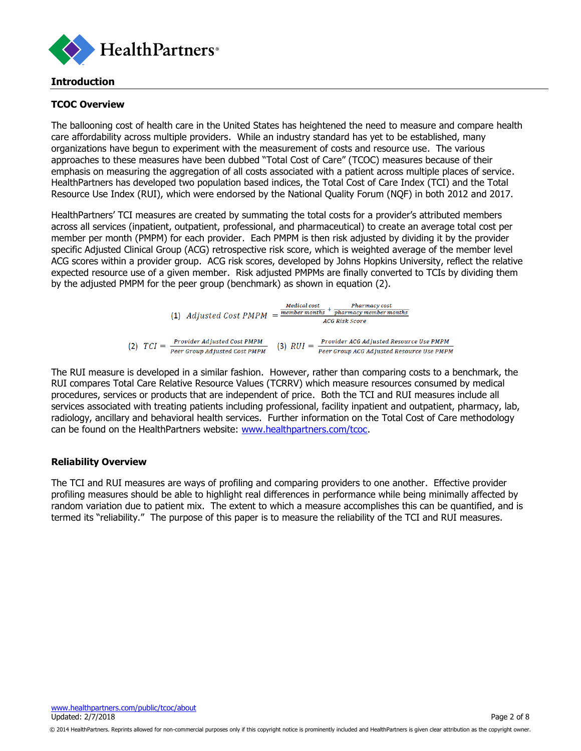

#### **Introduction**

#### **TCOC Overview**

The ballooning cost of health care in the United States has heightened the need to measure and compare health care affordability across multiple providers. While an industry standard has yet to be established, many organizations have begun to experiment with the measurement of costs and resource use. The various approaches to these measures have been dubbed "Total Cost of Care" (TCOC) measures because of their emphasis on measuring the aggregation of all costs associated with a patient across multiple places of service. HealthPartners has developed two population based indices, the Total Cost of Care Index (TCI) and the Total Resource Use Index (RUI), which were endorsed by the National Quality Forum (NQF) in both 2012 and 2017.

HealthPartners' TCI measures are created by summating the total costs for a provider's attributed members across all services (inpatient, outpatient, professional, and pharmaceutical) to create an average total cost per member per month (PMPM) for each provider. Each PMPM is then risk adjusted by dividing it by the provider specific Adjusted Clinical Group (ACG) retrospective risk score, which is weighted average of the member level ACG scores within a provider group. ACG risk scores, developed by Johns Hopkins University, reflect the relative expected resource use of a given member. Risk adjusted PMPMs are finally converted to TCIs by dividing them by the adjusted PMPM for the peer group (benchmark) as shown in equation (2).

|     |         |  | (1) Adjusted Cost $PMPM = \frac{member \, months}{$          | Medical cost  | Pharmacy cost<br>pharmacy member months                                              |  |  |
|-----|---------|--|--------------------------------------------------------------|---------------|--------------------------------------------------------------------------------------|--|--|
|     |         |  |                                                              |               | <b>ACG Risk Score</b>                                                                |  |  |
| (2) | $TCI =$ |  | Provider Adjusted Cost PMPM<br>Peer Group Adjusted Cost PMPM | $(3)$ $RUI =$ | Provider ACG Adjusted Resource Use PMPM<br>Peer Group ACG Adjusted Resource Use PMPM |  |  |

The RUI measure is developed in a similar fashion. However, rather than comparing costs to a benchmark, the RUI compares Total Care Relative Resource Values (TCRRV) which measure resources consumed by medical procedures, services or products that are independent of price. Both the TCI and RUI measures include all services associated with treating patients including professional, facility inpatient and outpatient, pharmacy, lab, radiology, ancillary and behavioral health services. Further information on the Total Cost of Care methodology can be found on the HealthPartners website: [www.healthpartners.com/tcoc.](http://www.healthpartners.com/tcoc)

#### **Reliability Overview**

The TCI and RUI measures are ways of profiling and comparing providers to one another. Effective provider profiling measures should be able to highlight real differences in performance while being minimally affected by random variation due to patient mix. The extent to which a measure accomplishes this can be quantified, and is termed its "reliability." The purpose of this paper is to measure the reliability of the TCI and RUI measures.

<sup>© 2014</sup> HealthPartners. Reprints allowed for non-commercial purposes only if this copyright notice is prominently included and HealthPartners is given clear attribution as the copyright owner.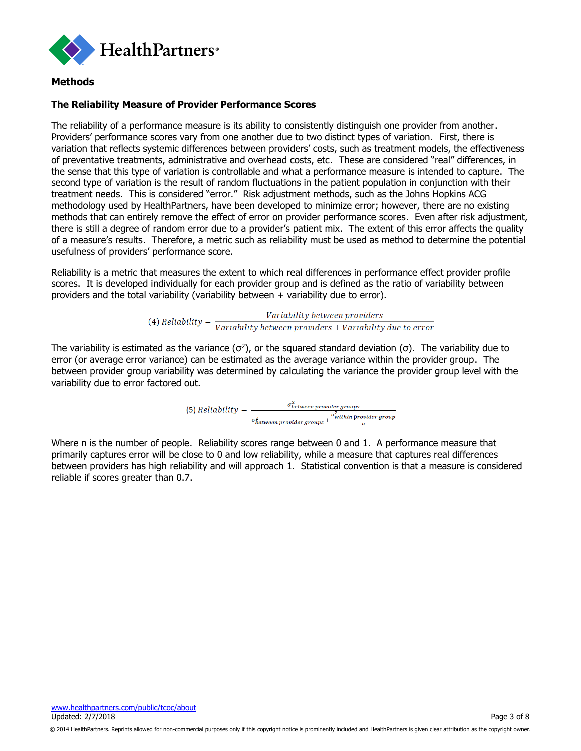

#### **Methods**

#### **The Reliability Measure of Provider Performance Scores**

The reliability of a performance measure is its ability to consistently distinguish one provider from another. Providers' performance scores vary from one another due to two distinct types of variation. First, there is variation that reflects systemic differences between providers' costs, such as treatment models, the effectiveness of preventative treatments, administrative and overhead costs, etc. These are considered "real" differences, in the sense that this type of variation is controllable and what a performance measure is intended to capture. The second type of variation is the result of random fluctuations in the patient population in conjunction with their treatment needs. This is considered "error." Risk adjustment methods, such as the Johns Hopkins ACG methodology used by HealthPartners, have been developed to minimize error; however, there are no existing methods that can entirely remove the effect of error on provider performance scores. Even after risk adjustment, there is still a degree of random error due to a provider's patient mix. The extent of this error affects the quality of a measure's results. Therefore, a metric such as reliability must be used as method to determine the potential usefulness of providers' performance score.

Reliability is a metric that measures the extent to which real differences in performance effect provider profile scores. It is developed individually for each provider group and is defined as the ratio of variability between providers and the total variability (variability between + variability due to error).

(4) Reliability =  $\frac{Variability\ between\ providers}{Variability\ between\ providers + Variability\ due\ to\ error}$ 

The variability is estimated as the variance ( $\sigma^2$ ), or the squared standard deviation ( $\sigma$ ). The variability due to error (or average error variance) can be estimated as the average variance within the provider group. The between provider group variability was determined by calculating the variance the provider group level with the variability due to error factored out.

(5) Reliability =  $\frac{\sigma_{between\,provider\,group}^2}{\sigma_{between\,provider\,group}^2 + \frac{\sigma_{within\,provider\,group}^2}{n}}$ 

Where n is the number of people. Reliability scores range between 0 and 1. A performance measure that primarily captures error will be close to 0 and low reliability, while a measure that captures real differences between providers has high reliability and will approach 1. Statistical convention is that a measure is considered reliable if scores greater than 0.7.

<sup>© 2014</sup> HealthPartners. Reprints allowed for non-commercial purposes only if this copyright notice is prominently included and HealthPartners is given clear attribution as the copyright owner.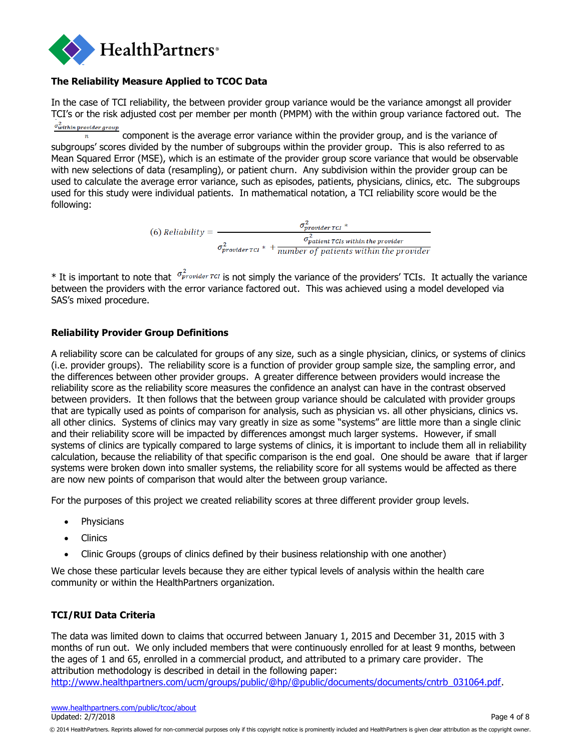

#### **The Reliability Measure Applied to TCOC Data**

In the case of TCI reliability, the between provider group variance would be the variance amongst all provider TCI's or the risk adjusted cost per member per month (PMPM) with the within group variance factored out. The  $\sigma_{within\, provider\,group}^2$ 

component is the average error variance within the provider group, and is the variance of subgroups' scores divided by the number of subgroups within the provider group. This is also referred to as Mean Squared Error (MSE), which is an estimate of the provider group score variance that would be observable with new selections of data (resampling), or patient churn. Any subdivision within the provider group can be used to calculate the average error variance, such as episodes, patients, physicians, clinics, etc. The subgroups used for this study were individual patients. In mathematical notation, a TCI reliability score would be the following:

(6) Reliability =  $\frac{\sigma_{provided}^2}{\sigma_{product\,TCI}^2*\frac{\sigma_{partient\,TCIs\,within\,the\,product}}^2}{\sigma_{provided\,TCI}^2*\frac{\sigma_{pattern\,TCIs\,within\,the\,product}}{number\,of\,patients\,within\,the\,product}}$ 

\* It is important to note that  $\sigma_p^2$  *Topportage TCI* is not simply the variance of the providers' TCIs. It actually the variance between the providers with the error variance factored out. This was achieved using a model developed via SAS's mixed procedure.

#### **Reliability Provider Group Definitions**

A reliability score can be calculated for groups of any size, such as a single physician, clinics, or systems of clinics (i.e. provider groups). The reliability score is a function of provider group sample size, the sampling error, and the differences between other provider groups. A greater difference between providers would increase the reliability score as the reliability score measures the confidence an analyst can have in the contrast observed between providers. It then follows that the between group variance should be calculated with provider groups that are typically used as points of comparison for analysis, such as physician vs. all other physicians, clinics vs. all other clinics. Systems of clinics may vary greatly in size as some "systems" are little more than a single clinic and their reliability score will be impacted by differences amongst much larger systems. However, if small systems of clinics are typically compared to large systems of clinics, it is important to include them all in reliability calculation, because the reliability of that specific comparison is the end goal. One should be aware that if larger systems were broken down into smaller systems, the reliability score for all systems would be affected as there are now new points of comparison that would alter the between group variance.

For the purposes of this project we created reliability scores at three different provider group levels.

- Physicians
- Clinics
- Clinic Groups (groups of clinics defined by their business relationship with one another)

We chose these particular levels because they are either typical levels of analysis within the health care community or within the HealthPartners organization.

#### **TCI/RUI Data Criteria**

The data was limited down to claims that occurred between January 1, 2015 and December 31, 2015 with 3 months of run out. We only included members that were continuously enrolled for at least 9 months, between the ages of 1 and 65, enrolled in a commercial product, and attributed to a primary care provider. The attribution methodology is described in detail in the following paper:

[http://www.healthpartners.com/ucm/groups/public/@hp/@public/documents/documents/cntrb\\_031064.pdf.](http://www.healthpartners.com/ucm/groups/public/@hp/@public/documents/documents/cntrb_031064.pdf)

<sup>© 2014</sup> HealthPartners. Reprints allowed for non-commercial purposes only if this copyright notice is prominently included and HealthPartners is given clear attribution as the copyright owner.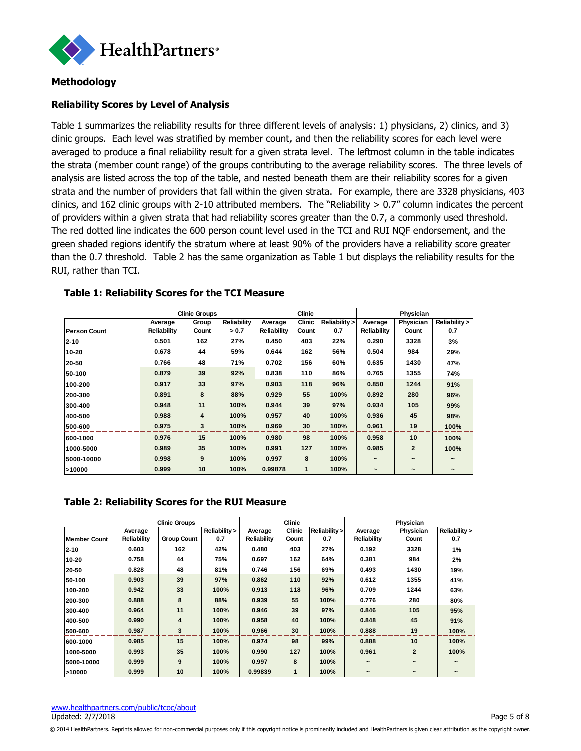

#### **Methodology**

#### **Reliability Scores by Level of Analysis**

Table 1 summarizes the reliability results for three different levels of analysis: 1) physicians, 2) clinics, and 3) clinic groups. Each level was stratified by member count, and then the reliability scores for each level were averaged to produce a final reliability result for a given strata level. The leftmost column in the table indicates the strata (member count range) of the groups contributing to the average reliability scores. The three levels of analysis are listed across the top of the table, and nested beneath them are their reliability scores for a given strata and the number of providers that fall within the given strata. For example, there are 3328 physicians, 403 clinics, and 162 clinic groups with 2-10 attributed members. The "Reliability  $> 0.7$ " column indicates the percent of providers within a given strata that had reliability scores greater than the 0.7, a commonly used threshold. The red dotted line indicates the 600 person count level used in the TCI and RUI NQF endorsement, and the green shaded regions identify the stratum where at least 90% of the providers have a reliability score greater than the 0.7 threshold. Table 2 has the same organization as Table 1 but displays the reliability results for the RUI, rather than TCI.

|                     | <b>Clinic Groups</b> |                         |             |             | Clinic        |               | Physician                |                          |                          |
|---------------------|----------------------|-------------------------|-------------|-------------|---------------|---------------|--------------------------|--------------------------|--------------------------|
|                     | Average              | Group                   | Reliability | Average     | <b>Clinic</b> | Reliability > | Average                  | Physician                | Reliability >            |
| <b>Person Count</b> | <b>Reliability</b>   | Count                   | > 0.7       | Reliability | Count         | 0.7           | Reliability              | Count                    | 0.7                      |
| $2 - 10$            | 0.501                | 162                     | 27%         | 0.450       | 403           | 22%           | 0.290                    | 3328                     | 3%                       |
| 10-20               | 0.678                | 44                      | 59%         | 0.644       | 162           | 56%           | 0.504                    | 984                      | 29%                      |
| 20-50               | 0.766                | 48                      | 71%         | 0.702       | 156           | 60%           | 0.635                    | 1430                     | 47%                      |
| 50-100              | 0.879                | 39                      | 92%         | 0.838       | 110           | 86%           | 0.765                    | 1355                     | 74%                      |
| 100-200             | 0.917                | 33                      | 97%         | 0.903       | 118           | 96%           | 0.850                    | 1244                     | 91%                      |
| 200-300             | 0.891                | 8                       | 88%         | 0.929       | 55            | 100%          | 0.892                    | 280                      | 96%                      |
| 300-400             | 0.948                | 11                      | 100%        | 0.944       | 39            | 97%           | 0.934                    | 105                      | 99%                      |
| 400-500             | 0.988                | $\overline{\mathbf{4}}$ | 100%        | 0.957       | 40            | 100%          | 0.936                    | 45                       | 98%                      |
| 500-600             | 0.975                | 3                       | 100%        | 0.969       | 30            | 100%          | 0.961                    | 19                       | 100%                     |
| 600-1000            | 0.976                | 15                      | 100%        | 0.980       | 98            | 100%          | 0.958                    | 10                       | 100%                     |
| 1000-5000           | 0.989                | 35                      | 100%        | 0.991       | 127           | 100%          | 0.985                    | $\overline{2}$           | 100%                     |
| 5000-10000          | 0.998                | 9                       | 100%        | 0.997       | 8             | 100%          | $\overline{\phantom{a}}$ | $\overline{\phantom{a}}$ |                          |
| >10000              | 0.999                | 10                      | 100%        | 0.99878     | $\mathbf{1}$  | 100%          | $\overline{\phantom{a}}$ | $\overline{\phantom{a}}$ | $\overline{\phantom{a}}$ |

#### **Table 1: Reliability Scores for the TCI Measure**

#### **Table 2: Reliability Scores for the RUI Measure**

|              |             | <b>Clinic Groups</b> |               |             | <b>Clinic</b> |               |                       | Physician             |                       |
|--------------|-------------|----------------------|---------------|-------------|---------------|---------------|-----------------------|-----------------------|-----------------------|
|              | Average     |                      | Reliability > | Average     | <b>Clinic</b> | Reliability > | Average               | Physician             | Reliability >         |
| Member Count | Reliability | <b>Group Count</b>   | 0.7           | Reliability | Count         | 0.7           | Reliability           | Count                 | 0.7                   |
| $2 - 10$     | 0.603       | 162                  | 42%           | 0.480       | 403           | 27%           | 0.192                 | 3328                  | 1%                    |
| 10-20        | 0.758       | 44                   | 75%           | 0.697       | 162           | 64%           | 0.381                 | 984                   | 2%                    |
| 20-50        | 0.828       | 48                   | 81%           | 0.746       | 156           | 69%           | 0.493                 | 1430                  | 19%                   |
| 50-100       | 0.903       | 39                   | 97%           | 0.862       | 110           | 92%           | 0.612                 | 1355                  | 41%                   |
| 100-200      | 0.942       | 33                   | 100%          | 0.913       | 118           | 96%           | 0.709                 | 1244                  | 63%                   |
| 200-300      | 0.888       | 8                    | 88%           | 0.939       | 55            | 100%          | 0.776                 | 280                   | 80%                   |
| 300-400      | 0.964       | 11                   | 100%          | 0.946       | 39            | 97%           | 0.846                 | 105                   | 95%                   |
| 400-500      | 0.990       | 4                    | 100%          | 0.958       | 40            | 100%          | 0.848                 | 45                    | 91%                   |
| 500-600      | 0.987       | 3                    | 100%          | 0.966       | 30            | 100%          | 0.888                 | 19                    | 100%                  |
| 600-1000     | 0.985       | 15                   | 100%          | 0.974       | 98            | 99%           | 0.888                 | 10                    | 100%                  |
| 1000-5000    | 0.993       | 35                   | 100%          | 0.990       | 127           | 100%          | 0.961                 | $\overline{2}$        | 100%                  |
| 5000-10000   | 0.999       | 9                    | 100%          | 0.997       | 8             | 100%          | $\tilde{\phantom{a}}$ | $\tilde{\phantom{a}}$ | $\tilde{\phantom{a}}$ |
| >10000       | 0.999       | 10                   | 100%          | 0.99839     | 1             | 100%          | $\tilde{\phantom{a}}$ | $\tilde{\phantom{a}}$ | $\tilde{\phantom{a}}$ |

<sup>© 2014</sup> HealthPartners. Reprints allowed for non-commercial purposes only if this copyright notice is prominently included and HealthPartners is given clear attribution as the copyright owner.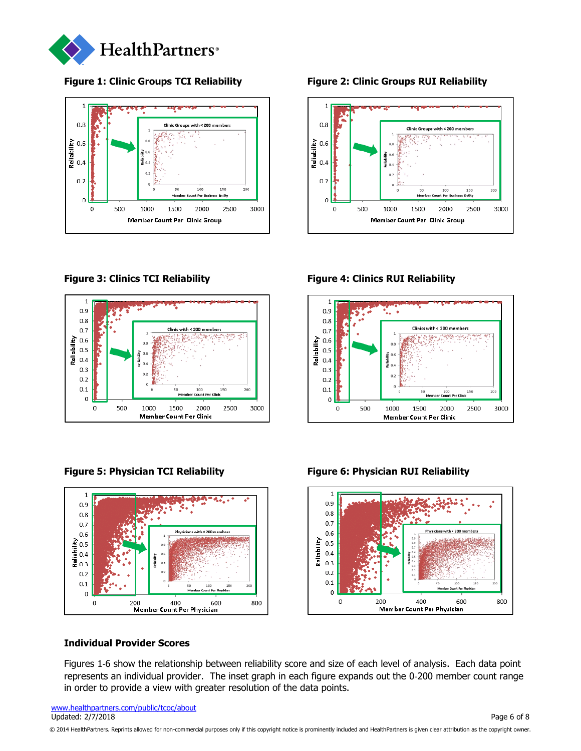



**Figure 1: Clinic Groups TCI Reliability Figure 2: Clinic Groups RUI Reliability**







**Figure 3: Clinics TCI Reliability Figure 4: Clinics RUI Reliability**





#### **Figure 5: Physician TCI Reliability Figure 6: Physician RUI Reliability**

#### **Individual Provider Scores**

Figures 1‐6 show the relationship between reliability score and size of each level of analysis. Each data point represents an individual provider. The inset graph in each figure expands out the 0‐200 member count range in order to provide a view with greater resolution of the data points.

[www.healthpartners.com/public/tcoc/about](http://www.healthpartners.com/public/tcoc/about) Updated: 2/7/2018 Page 6 of 8

© 2014 HealthPartners. Reprints allowed for non-commercial purposes only if this copyright notice is prominently included and HealthPartners is given clear attribution as the copyright owner.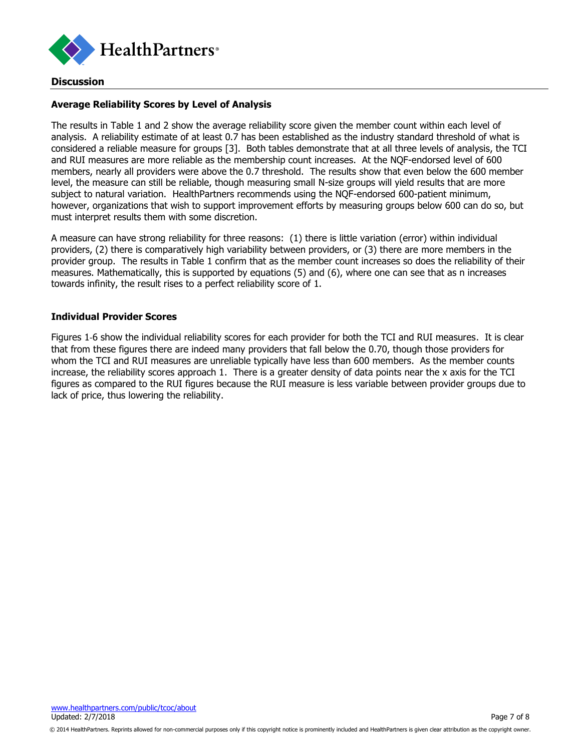

#### **Discussion**

#### **Average Reliability Scores by Level of Analysis**

The results in Table 1 and 2 show the average reliability score given the member count within each level of analysis. A reliability estimate of at least 0.7 has been established as the industry standard threshold of what is considered a reliable measure for groups [3]. Both tables demonstrate that at all three levels of analysis, the TCI and RUI measures are more reliable as the membership count increases. At the NQF-endorsed level of 600 members, nearly all providers were above the 0.7 threshold. The results show that even below the 600 member level, the measure can still be reliable, though measuring small N-size groups will yield results that are more subject to natural variation. HealthPartners recommends using the NQF-endorsed 600-patient minimum, however, organizations that wish to support improvement efforts by measuring groups below 600 can do so, but must interpret results them with some discretion.

A measure can have strong reliability for three reasons: (1) there is little variation (error) within individual providers, (2) there is comparatively high variability between providers, or (3) there are more members in the provider group. The results in Table 1 confirm that as the member count increases so does the reliability of their measures. Mathematically, this is supported by equations (5) and (6), where one can see that as n increases towards infinity, the result rises to a perfect reliability score of 1.

#### **Individual Provider Scores**

Figures 1‐6 show the individual reliability scores for each provider for both the TCI and RUI measures. It is clear that from these figures there are indeed many providers that fall below the 0.70, though those providers for whom the TCI and RUI measures are unreliable typically have less than 600 members. As the member counts increase, the reliability scores approach 1. There is a greater density of data points near the x axis for the TCI figures as compared to the RUI figures because the RUI measure is less variable between provider groups due to lack of price, thus lowering the reliability.

<sup>© 2014</sup> HealthPartners. Reprints allowed for non-commercial purposes only if this copyright notice is prominently included and HealthPartners is given clear attribution as the copyright owner.